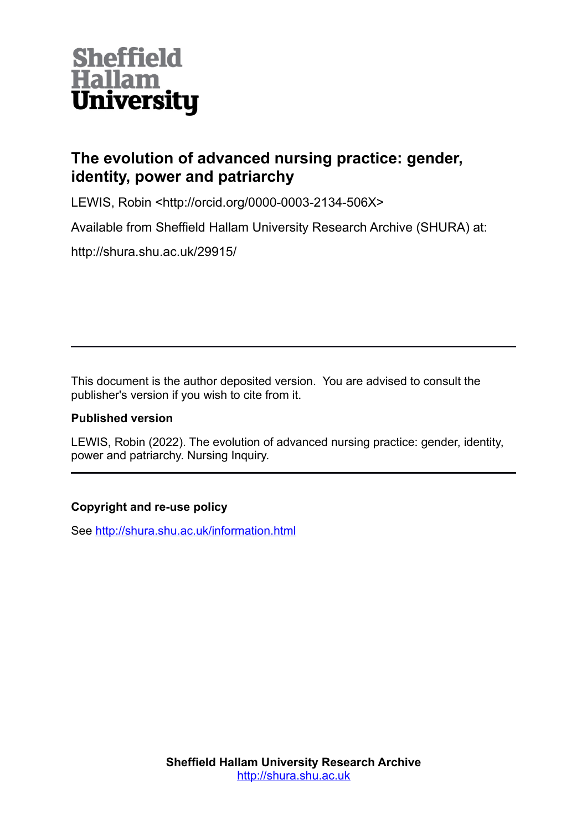

# **The evolution of advanced nursing practice: gender, identity, power and patriarchy**

LEWIS, Robin <http://orcid.org/0000-0003-2134-506X>

Available from Sheffield Hallam University Research Archive (SHURA) at:

http://shura.shu.ac.uk/29915/

This document is the author deposited version. You are advised to consult the publisher's version if you wish to cite from it.

# **Published version**

LEWIS, Robin (2022). The evolution of advanced nursing practice: gender, identity, power and patriarchy. Nursing Inquiry.

# **Copyright and re-use policy**

See<http://shura.shu.ac.uk/information.html>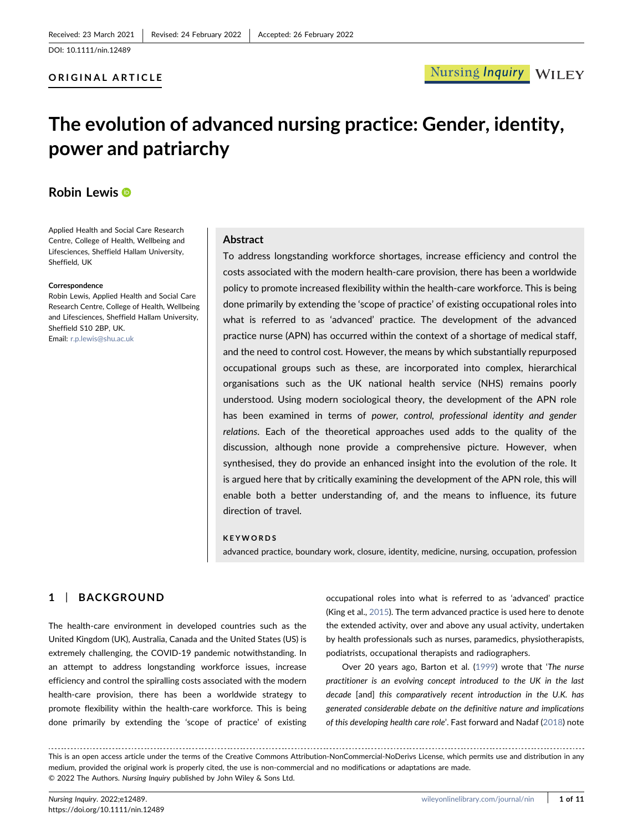### ORIGINAL ARTICLE

# The evolution of advanced nursing practice: Gender, identity, power and patriarchy

# Robin Lewi[s](https://orcid.org/0000-0003-2134-506X) <sup>®</sup>

Applied Health and Social Care Research Centre, College of Health, Wellbeing and Lifesciences, Sheffield Hallam University, Sheffield, UK

#### Correspondence

Robin Lewis, Applied Health and Social Care Research Centre, College of Health, Wellbeing and Lifesciences, Sheffield Hallam University, Sheffield S10 2BP, UK. Email: [r.p.lewis@shu.ac.uk](mailto:r.p.lewis@shu.ac.uk)

### Abstract

To address longstanding workforce shortages, increase efficiency and control the costs associated with the modern health‐care provision, there has been a worldwide policy to promote increased flexibility within the health‐care workforce. This is being done primarily by extending the 'scope of practice' of existing occupational roles into what is referred to as 'advanced' practice. The development of the advanced practice nurse (APN) has occurred within the context of a shortage of medical staff, and the need to control cost. However, the means by which substantially repurposed occupational groups such as these, are incorporated into complex, hierarchical organisations such as the UK national health service (NHS) remains poorly understood. Using modern sociological theory, the development of the APN role has been examined in terms of power, control, professional identity and gender relations. Each of the theoretical approaches used adds to the quality of the discussion, although none provide a comprehensive picture. However, when synthesised, they do provide an enhanced insight into the evolution of the role. It is argued here that by critically examining the development of the APN role, this will enable both a better understanding of, and the means to influence, its future direction of travel.

### **KEYWORDS**

advanced practice, boundary work, closure, identity, medicine, nursing, occupation, profession

### 1 | BACKGROUND

The health-care environment in developed countries such as the United Kingdom (UK), Australia, Canada and the United States (US) is extremely challenging, the COVID‐19 pandemic notwithstanding. In an attempt to address longstanding workforce issues, increase efficiency and control the spiralling costs associated with the modern health-care provision, there has been a worldwide strategy to promote flexibility within the health‐care workforce. This is being done primarily by extending the 'scope of practice' of existing

occupational roles into what is referred to as 'advanced' practice (King et al., [2015](#page-10-0)). The term advanced practice is used here to denote the extended activity, over and above any usual activity, undertaken by health professionals such as nurses, paramedics, physiotherapists, podiatrists, occupational therapists and radiographers.

Over 20 years ago, Barton et al. [\(1999](#page-9-0)) wrote that 'The nurse practitioner is an evolving concept introduced to the UK in the last decade [and] this comparatively recent introduction in the U.K. has generated considerable debate on the definitive nature and implications of this developing health care role'. Fast forward and Nadaf ([2018\)](#page-10-1) note

This is an open access article under the terms of the Creative Commons Attribution-NonCommercial-NoDerivs License, which permits use and distribution in any medium, provided the original work is properly cited, the use is non‐commercial and no modifications or adaptations are made. © 2022 The Authors. Nursing Inquiry published by John Wiley & Sons Ltd.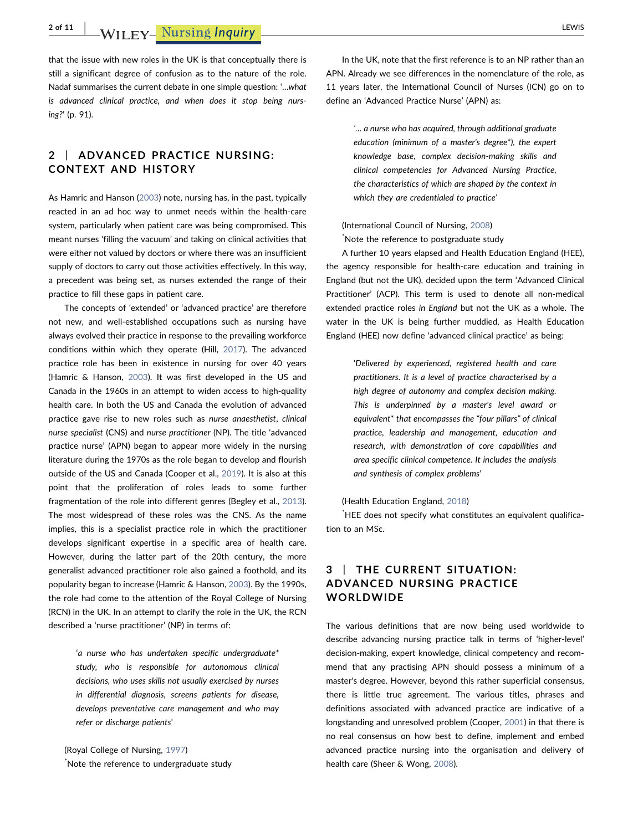2 of 11 | WILEY- Nursing Inquiry | LEWIS | LEWIS | LEWIS | LEWIS | LEWIS | LEWIS | LEWIS | LEWIS | LEWIS | LEWIS

that the issue with new roles in the UK is that conceptually there is still a significant degree of confusion as to the nature of the role. Nadaf summarises the current debate in one simple question: '…what is advanced clinical practice, and when does it stop being nursing?' (p. 91).

## 2 | ADVANCED PRACTICE NURSING: CONTEXT AND HISTORY

As Hamric and Hanson ([2003](#page-10-2)) note, nursing has, in the past, typically reacted in an ad hoc way to unmet needs within the health‐care system, particularly when patient care was being compromised. This meant nurses 'filling the vacuum' and taking on clinical activities that were either not valued by doctors or where there was an insufficient supply of doctors to carry out those activities effectively. In this way, a precedent was being set, as nurses extended the range of their practice to fill these gaps in patient care.

The concepts of 'extended' or 'advanced practice' are therefore not new, and well‐established occupations such as nursing have always evolved their practice in response to the prevailing workforce conditions within which they operate (Hill, [2017\)](#page-10-3). The advanced practice role has been in existence in nursing for over 40 years (Hamric & Hanson, [2003](#page-10-2)). It was first developed in the US and Canada in the 1960s in an attempt to widen access to high-quality health care. In both the US and Canada the evolution of advanced practice gave rise to new roles such as nurse anaesthetist, clinical nurse specialist (CNS) and nurse practitioner (NP). The title 'advanced practice nurse' (APN) began to appear more widely in the nursing literature during the 1970s as the role began to develop and flourish outside of the US and Canada (Cooper et al., [2019](#page-9-1)). It is also at this point that the proliferation of roles leads to some further fragmentation of the role into different genres (Begley et al., [2013](#page-9-2)). The most widespread of these roles was the CNS. As the name implies, this is a specialist practice role in which the practitioner develops significant expertise in a specific area of health care. However, during the latter part of the 20th century, the more generalist advanced practitioner role also gained a foothold, and its popularity began to increase (Hamric & Hanson, [2003\)](#page-10-2). By the 1990s, the role had come to the attention of the Royal College of Nursing (RCN) in the UK. In an attempt to clarify the role in the UK, the RCN described a 'nurse practitioner' (NP) in terms of:

> 'a nurse who has undertaken specific undergraduate\* study, who is responsible for autonomous clinical decisions, who uses skills not usually exercised by nurses in differential diagnosis, screens patients for disease, develops preventative care management and who may refer or discharge patients'

(Royal College of Nursing, [1997](#page-11-0)) \* Note the reference to undergraduate study

In the UK, note that the first reference is to an NP rather than an APN. Already we see differences in the nomenclature of the role, as 11 years later, the International Council of Nurses (ICN) go on to define an 'Advanced Practice Nurse' (APN) as:

> '… a nurse who has acquired, through additional graduate education (minimum of a master's degree\*), the expert knowledge base, complex decision‐making skills and clinical competencies for Advanced Nursing Practice, the characteristics of which are shaped by the context in which they are credentialed to practice'

### (International Council of Nursing, [2008](#page-10-4))

\* Note the reference to postgraduate study

A further 10 years elapsed and Health Education England (HEE), the agency responsible for health‐care education and training in England (but not the UK), decided upon the term 'Advanced Clinical Practitioner' (ACP). This term is used to denote all non-medical extended practice roles in England but not the UK as a whole. The water in the UK is being further muddied, as Health Education England (HEE) now define 'advanced clinical practice' as being:

> 'Delivered by experienced, registered health and care practitioners. It is a level of practice characterised by a high degree of autonomy and complex decision making. This is underpinned by a master's level award or equivalent\* that encompasses the "four pillars" of clinical practice, leadership and management, education and research, with demonstration of core capabilities and area specific clinical competence. It includes the analysis and synthesis of complex problems'

### (Health Education England, [2018](#page-10-5))

\* HEE does not specify what constitutes an equivalent qualification to an MSc.

### 3 | THE CURRENT SITUATION: ADVANCED NURSING PRACTICE WORLDWIDE

The various definitions that are now being used worldwide to describe advancing nursing practice talk in terms of 'higher‐level' decision‐making, expert knowledge, clinical competency and recommend that any practising APN should possess a minimum of a master's degree. However, beyond this rather superficial consensus, there is little true agreement. The various titles, phrases and definitions associated with advanced practice are indicative of a longstanding and unresolved problem (Cooper, [2001](#page-9-3)) in that there is no real consensus on how best to define, implement and embed advanced practice nursing into the organisation and delivery of health care (Sheer & Wong, [2008\)](#page-11-1).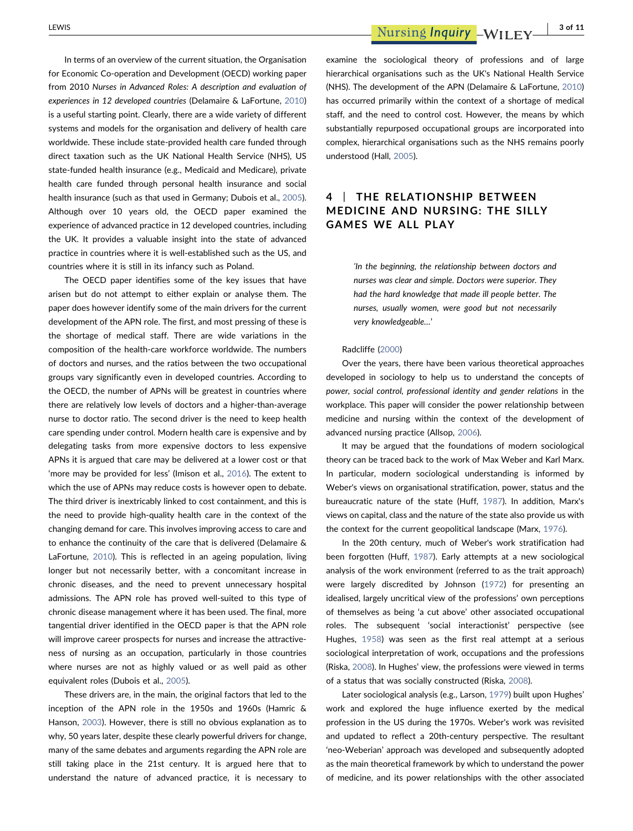In terms of an overview of the current situation, the Organisation for Economic Co‐operation and Development (OECD) working paper from 2010 Nurses in Advanced Roles: A description and evaluation of experiences in 12 developed countries (Delamaire & LaFortune, [2010](#page-10-6)) is a useful starting point. Clearly, there are a wide variety of different systems and models for the organisation and delivery of health care worldwide. These include state‐provided health care funded through direct taxation such as the UK National Health Service (NHS), US state-funded health insurance (e.g., Medicaid and Medicare), private health care funded through personal health insurance and social health insurance (such as that used in Germany; Dubois et al., [2005](#page-10-7)). Although over 10 years old, the OECD paper examined the experience of advanced practice in 12 developed countries, including the UK. It provides a valuable insight into the state of advanced practice in countries where it is well‐established such as the US, and countries where it is still in its infancy such as Poland.

The OECD paper identifies some of the key issues that have arisen but do not attempt to either explain or analyse them. The paper does however identify some of the main drivers for the current development of the APN role. The first, and most pressing of these is the shortage of medical staff. There are wide variations in the composition of the health‐care workforce worldwide. The numbers of doctors and nurses, and the ratios between the two occupational groups vary significantly even in developed countries. According to the OECD, the number of APNs will be greatest in countries where there are relatively low levels of doctors and a higher‐than‐average nurse to doctor ratio. The second driver is the need to keep health care spending under control. Modern health care is expensive and by delegating tasks from more expensive doctors to less expensive APNs it is argued that care may be delivered at a lower cost or that 'more may be provided for less' (Imison et al., [2016](#page-10-8)). The extent to which the use of APNs may reduce costs is however open to debate. The third driver is inextricably linked to cost containment, and this is the need to provide high‐quality health care in the context of the changing demand for care. This involves improving access to care and to enhance the continuity of the care that is delivered (Delamaire & LaFortune, [2010](#page-10-6)). This is reflected in an ageing population, living longer but not necessarily better, with a concomitant increase in chronic diseases, and the need to prevent unnecessary hospital admissions. The APN role has proved well‐suited to this type of chronic disease management where it has been used. The final, more tangential driver identified in the OECD paper is that the APN role will improve career prospects for nurses and increase the attractiveness of nursing as an occupation, particularly in those countries where nurses are not as highly valued or as well paid as other equivalent roles (Dubois et al., [2005\)](#page-10-7).

These drivers are, in the main, the original factors that led to the inception of the APN role in the 1950s and 1960s (Hamric & Hanson, [2003\)](#page-10-2). However, there is still no obvious explanation as to why, 50 years later, despite these clearly powerful drivers for change, many of the same debates and arguments regarding the APN role are still taking place in the 21st century. It is argued here that to understand the nature of advanced practice, it is necessary to

LEWIS **Example 20 and 20 and 3 cm and 3 cm and 3 cm and 3 cm and 3 cm and 3 of 11** 

examine the sociological theory of professions and of large hierarchical organisations such as the UK's National Health Service (NHS). The development of the APN (Delamaire & LaFortune, [2010](#page-10-6)) has occurred primarily within the context of a shortage of medical staff, and the need to control cost. However, the means by which substantially repurposed occupational groups are incorporated into complex, hierarchical organisations such as the NHS remains poorly understood (Hall, [2005\)](#page-10-9).

# 4 | THE RELATIONSHIP BETWEEN MEDICINE AND NURSING: THE SILLY GAMES WE ALL PLAY

'In the beginning, the relationship between doctors and nurses was clear and simple. Doctors were superior. They had the hard knowledge that made ill people better. The nurses, usually women, were good but not necessarily very knowledgeable…'

#### Radcliffe ([2000](#page-11-2))

Over the years, there have been various theoretical approaches developed in sociology to help us to understand the concepts of power, social control, professional identity and gender relations in the workplace. This paper will consider the power relationship between medicine and nursing within the context of the development of advanced nursing practice (Allsop, [2006](#page-9-4)).

It may be argued that the foundations of modern sociological theory can be traced back to the work of Max Weber and Karl Marx. In particular, modern sociological understanding is informed by Weber's views on organisational stratification, power, status and the bureaucratic nature of the state (Huff, [1987\)](#page-10-10). In addition, Marx's views on capital, class and the nature of the state also provide us with the context for the current geopolitical landscape (Marx, [1976\)](#page-10-11).

In the 20th century, much of Weber's work stratification had been forgotten (Huff, [1987\)](#page-10-10). Early attempts at a new sociological analysis of the work environment (referred to as the trait approach) were largely discredited by Johnson ([1972](#page-10-12)) for presenting an idealised, largely uncritical view of the professions' own perceptions of themselves as being 'a cut above' other associated occupational roles. The subsequent 'social interactionist' perspective (see Hughes, [1958\)](#page-10-13) was seen as the first real attempt at a serious sociological interpretation of work, occupations and the professions (Riska, [2008](#page-11-3)). In Hughes' view, the professions were viewed in terms of a status that was socially constructed (Riska, [2008\)](#page-11-3).

Later sociological analysis (e.g., Larson, [1979\)](#page-10-14) built upon Hughes' work and explored the huge influence exerted by the medical profession in the US during the 1970s. Weber's work was revisited and updated to reflect a 20th‐century perspective. The resultant 'neo‐Weberian' approach was developed and subsequently adopted as the main theoretical framework by which to understand the power of medicine, and its power relationships with the other associated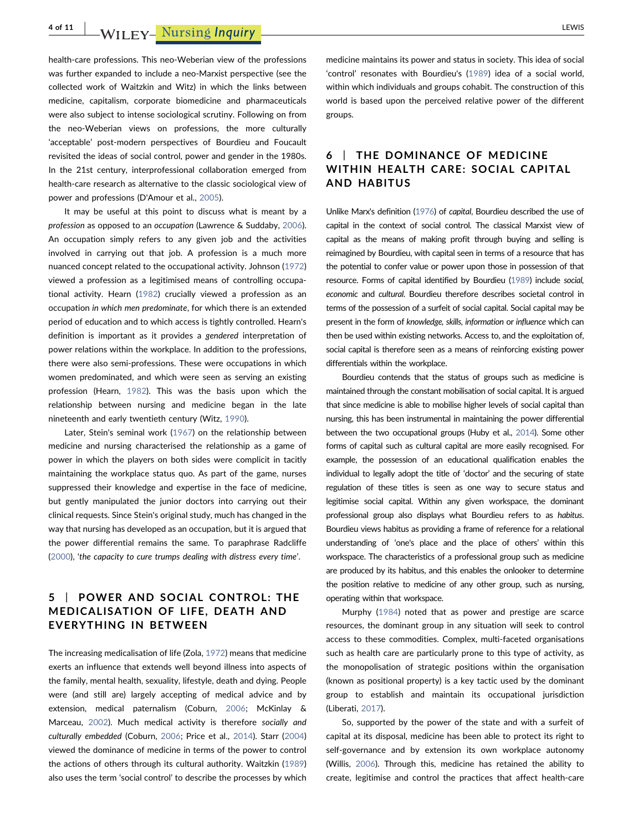4 of 11 | WILEY- Nursing Inquiry | LEWIS | LEWIS | LEWIS | LEWIS | LEWIS | LEWIS | LEWIS | LEWIS | LEWIS | LEWIS

health-care professions. This neo-Weberian view of the professions was further expanded to include a neo‐Marxist perspective (see the collected work of Waitzkin and Witz) in which the links between medicine, capitalism, corporate biomedicine and pharmaceuticals were also subject to intense sociological scrutiny. Following on from the neo‐Weberian views on professions, the more culturally 'acceptable' post‐modern perspectives of Bourdieu and Foucault revisited the ideas of social control, power and gender in the 1980s. In the 21st century, interprofessional collaboration emerged from health-care research as alternative to the classic sociological view of power and professions (D'Amour et al., [2005](#page-10-15)).

It may be useful at this point to discuss what is meant by a profession as opposed to an occupation (Lawrence & Suddaby, [2006](#page-10-16)). An occupation simply refers to any given job and the activities involved in carrying out that job. A profession is a much more nuanced concept related to the occupational activity. Johnson ([1972](#page-10-12)) viewed a profession as a legitimised means of controlling occupational activity. Hearn [\(1982\)](#page-10-17) crucially viewed a profession as an occupation in which men predominate, for which there is an extended period of education and to which access is tightly controlled. Hearn's definition is important as it provides a gendered interpretation of power relations within the workplace. In addition to the professions, there were also semi‐professions. These were occupations in which women predominated, and which were seen as serving an existing profession (Hearn, [1982\)](#page-10-17). This was the basis upon which the relationship between nursing and medicine began in the late nineteenth and early twentieth century (Witz, [1990](#page-11-4)).

Later, Stein's seminal work ([1967](#page-11-5)) on the relationship between medicine and nursing characterised the relationship as a game of power in which the players on both sides were complicit in tacitly maintaining the workplace status quo. As part of the game, nurses suppressed their knowledge and expertise in the face of medicine, but gently manipulated the junior doctors into carrying out their clinical requests. Since Stein's original study, much has changed in the way that nursing has developed as an occupation, but it is argued that the power differential remains the same. To paraphrase Radcliffe ([2000](#page-11-2)), 'the capacity to cure trumps dealing with distress every time'.

# 5 | POWER AND SOCIAL CONTROL: THE MEDICALISATION OF LIFE, DEATH AND EVERYTHING IN BETWEEN

The increasing medicalisation of life (Zola, [1972\)](#page-11-6) means that medicine exerts an influence that extends well beyond illness into aspects of the family, mental health, sexuality, lifestyle, death and dying. People were (and still are) largely accepting of medical advice and by extension, medical paternalism (Coburn, [2006](#page-9-5); McKinlay & Marceau, [2002\)](#page-10-18). Much medical activity is therefore socially and culturally embedded (Coburn, [2006;](#page-9-5) Price et al., [2014\)](#page-11-7). Starr ([2004](#page-11-8)) viewed the dominance of medicine in terms of the power to control the actions of others through its cultural authority. Waitzkin ([1989](#page-11-9)) also uses the term 'social control' to describe the processes by which

medicine maintains its power and status in society. This idea of social 'control' resonates with Bourdieu's ([1989](#page-9-6)) idea of a social world, within which individuals and groups cohabit. The construction of this world is based upon the perceived relative power of the different groups.

# 6 | THE DOMINANCE OF MEDICINE WITHIN HEALTH CARE: SOCIAL CAPITAL AND HABITUS

Unlike Marx's definition [\(1976](#page-10-11)) of capital, Bourdieu described the use of capital in the context of social control. The classical Marxist view of capital as the means of making profit through buying and selling is reimagined by Bourdieu, with capital seen in terms of a resource that has the potential to confer value or power upon those in possession of that resource. Forms of capital identified by Bourdieu [\(1989](#page-9-6)) include social, economic and cultural. Bourdieu therefore describes societal control in terms of the possession of a surfeit of social capital. Social capital may be present in the form of knowledge, skills, information or influence which can then be used within existing networks. Access to, and the exploitation of, social capital is therefore seen as a means of reinforcing existing power differentials within the workplace.

Bourdieu contends that the status of groups such as medicine is maintained through the constant mobilisation of social capital. It is argued that since medicine is able to mobilise higher levels of social capital than nursing, this has been instrumental in maintaining the power differential between the two occupational groups (Huby et al., [2014\)](#page-10-19). Some other forms of capital such as cultural capital are more easily recognised. For example, the possession of an educational qualification enables the individual to legally adopt the title of 'doctor' and the securing of state regulation of these titles is seen as one way to secure status and legitimise social capital. Within any given workspace, the dominant professional group also displays what Bourdieu refers to as habitus. Bourdieu views habitus as providing a frame of reference for a relational understanding of 'one's place and the place of others' within this workspace. The characteristics of a professional group such as medicine are produced by its habitus, and this enables the onlooker to determine the position relative to medicine of any other group, such as nursing, operating within that workspace.

Murphy [\(1984\)](#page-10-20) noted that as power and prestige are scarce resources, the dominant group in any situation will seek to control access to these commodities. Complex, multi-faceted organisations such as health care are particularly prone to this type of activity, as the monopolisation of strategic positions within the organisation (known as positional property) is a key tactic used by the dominant group to establish and maintain its occupational jurisdiction (Liberati, [2017](#page-10-21)).

So, supported by the power of the state and with a surfeit of capital at its disposal, medicine has been able to protect its right to self-governance and by extension its own workplace autonomy (Willis, [2006](#page-11-10)). Through this, medicine has retained the ability to create, legitimise and control the practices that affect health‐care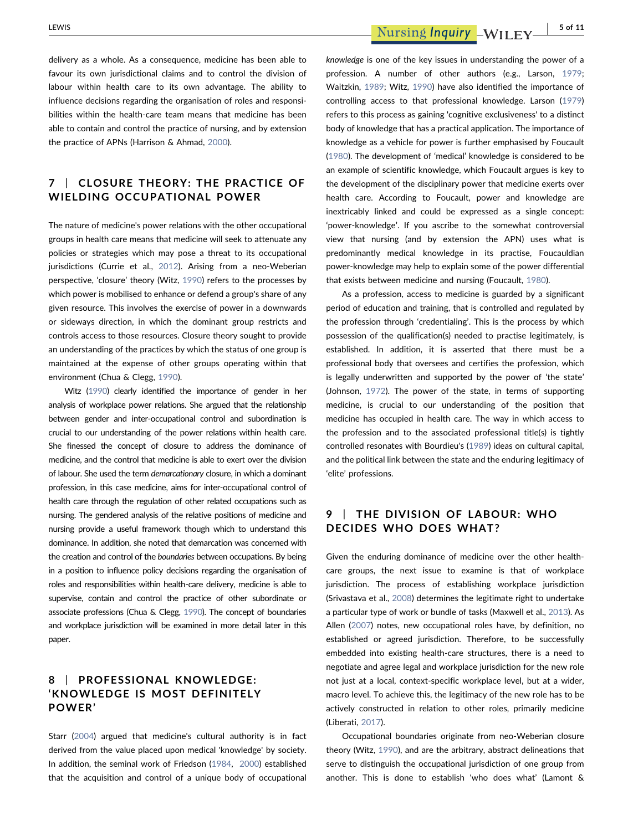delivery as a whole. As a consequence, medicine has been able to favour its own jurisdictional claims and to control the division of labour within health care to its own advantage. The ability to influence decisions regarding the organisation of roles and responsibilities within the health‐care team means that medicine has been able to contain and control the practice of nursing, and by extension the practice of APNs (Harrison & Ahmad, [2000](#page-10-22)).

### 7 | CLOSURE THEORY: THE PRACTICE OF WIELDING OCCUPATIONAL POWER

The nature of medicine's power relations with the other occupational groups in health care means that medicine will seek to attenuate any policies or strategies which may pose a threat to its occupational jurisdictions (Currie et al., [2012\)](#page-10-23). Arising from a neo-Weberian perspective, 'closure' theory (Witz, [1990](#page-11-4)) refers to the processes by which power is mobilised to enhance or defend a group's share of any given resource. This involves the exercise of power in a downwards or sideways direction, in which the dominant group restricts and controls access to those resources. Closure theory sought to provide an understanding of the practices by which the status of one group is maintained at the expense of other groups operating within that environment (Chua & Clegg, [1990](#page-9-7)).

Witz [\(1990\)](#page-11-4) clearly identified the importance of gender in her analysis of workplace power relations. She argued that the relationship between gender and inter‐occupational control and subordination is crucial to our understanding of the power relations within health care. She finessed the concept of closure to address the dominance of medicine, and the control that medicine is able to exert over the division of labour. She used the term demarcationary closure, in which a dominant profession, in this case medicine, aims for inter‐occupational control of health care through the regulation of other related occupations such as nursing. The gendered analysis of the relative positions of medicine and nursing provide a useful framework though which to understand this dominance. In addition, she noted that demarcation was concerned with the creation and control of the boundaries between occupations. By being in a position to influence policy decisions regarding the organisation of roles and responsibilities within health‐care delivery, medicine is able to supervise, contain and control the practice of other subordinate or associate professions (Chua & Clegg, [1990](#page-9-7)). The concept of boundaries and workplace jurisdiction will be examined in more detail later in this paper.

### 8 | PROFESSIONAL KNOWLEDGE: 'KNOWLEDGE IS MOST DEFINITELY POWER'

Starr ([2004](#page-11-8)) argued that medicine's cultural authority is in fact derived from the value placed upon medical 'knowledge' by society. In addition, the seminal work of Friedson [\(1984,](#page-10-24) [2000\)](#page-10-25) established that the acquisition and control of a unique body of occupational

knowledge is one of the key issues in understanding the power of a profession. A number of other authors (e.g., Larson, [1979;](#page-10-14) Waitzkin, [1989](#page-11-9); Witz, [1990\)](#page-11-4) have also identified the importance of controlling access to that professional knowledge. Larson ([1979](#page-10-14)) refers to this process as gaining 'cognitive exclusiveness' to a distinct body of knowledge that has a practical application. The importance of knowledge as a vehicle for power is further emphasised by Foucault [\(1980\)](#page-10-26). The development of 'medical' knowledge is considered to be an example of scientific knowledge, which Foucault argues is key to the development of the disciplinary power that medicine exerts over health care. According to Foucault, power and knowledge are inextricably linked and could be expressed as a single concept: 'power-knowledge'. If you ascribe to the somewhat controversial view that nursing (and by extension the APN) uses what is predominantly medical knowledge in its practise, Foucauldian power‐knowledge may help to explain some of the power differential that exists between medicine and nursing (Foucault, [1980\)](#page-10-26).

As a profession, access to medicine is guarded by a significant period of education and training, that is controlled and regulated by the profession through 'credentialing'. This is the process by which possession of the qualification(s) needed to practise legitimately, is established. In addition, it is asserted that there must be a professional body that oversees and certifies the profession, which is legally underwritten and supported by the power of 'the state' (Johnson, [1972\)](#page-10-12). The power of the state, in terms of supporting medicine, is crucial to our understanding of the position that medicine has occupied in health care. The way in which access to the profession and to the associated professional title(s) is tightly controlled resonates with Bourdieu's [\(1989\)](#page-9-6) ideas on cultural capital, and the political link between the state and the enduring legitimacy of 'elite' professions.

# 9 | THE DIVISION OF LABOUR: WHO DECIDES WHO DOES WHAT?

Given the enduring dominance of medicine over the other health‐ care groups, the next issue to examine is that of workplace jurisdiction. The process of establishing workplace jurisdiction (Srivastava et al., [2008](#page-11-11)) determines the legitimate right to undertake a particular type of work or bundle of tasks (Maxwell et al., [2013\)](#page-10-27). As Allen [\(2007\)](#page-9-8) notes, new occupational roles have, by definition, no established or agreed jurisdiction. Therefore, to be successfully embedded into existing health-care structures, there is a need to negotiate and agree legal and workplace jurisdiction for the new role not just at a local, context‐specific workplace level, but at a wider, macro level. To achieve this, the legitimacy of the new role has to be actively constructed in relation to other roles, primarily medicine (Liberati, [2017](#page-10-21)).

Occupational boundaries originate from neo‐Weberian closure theory (Witz, [1990\)](#page-11-4), and are the arbitrary, abstract delineations that serve to distinguish the occupational jurisdiction of one group from another. This is done to establish 'who does what' (Lamont &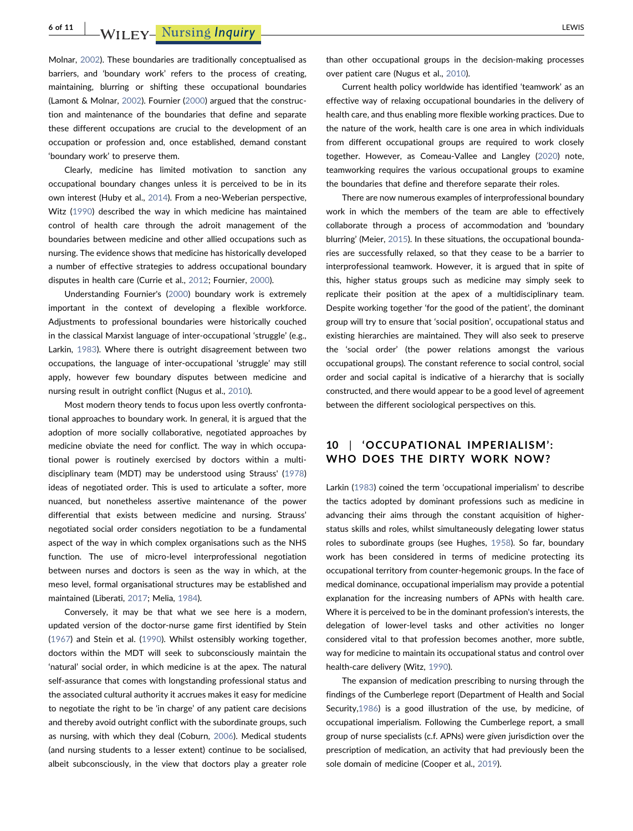6 of 11 | WILEY- Nursing Inquiry | LEWIS | LEWIS | LEWIS | LEWIS | LEWIS | LEWIS | LEWIS | LEWIS | LEWIS | LEWIS

Molnar, [2002](#page-10-28)). These boundaries are traditionally conceptualised as barriers, and 'boundary work' refers to the process of creating, maintaining, blurring or shifting these occupational boundaries (Lamont & Molnar, [2002](#page-10-28)). Fournier [\(2000\)](#page-10-29) argued that the construction and maintenance of the boundaries that define and separate these different occupations are crucial to the development of an occupation or profession and, once established, demand constant 'boundary work' to preserve them.

Clearly, medicine has limited motivation to sanction any occupational boundary changes unless it is perceived to be in its own interest (Huby et al., [2014\)](#page-10-19). From a neo‐Weberian perspective, Witz [\(1990\)](#page-11-4) described the way in which medicine has maintained control of health care through the adroit management of the boundaries between medicine and other allied occupations such as nursing. The evidence shows that medicine has historically developed a number of effective strategies to address occupational boundary disputes in health care (Currie et al., [2012;](#page-10-23) Fournier, [2000\)](#page-10-29).

Understanding Fournier's [\(2000\)](#page-10-29) boundary work is extremely important in the context of developing a flexible workforce. Adjustments to professional boundaries were historically couched in the classical Marxist language of inter‐occupational 'struggle' (e.g., Larkin, [1983](#page-10-30)). Where there is outright disagreement between two occupations, the language of inter‐occupational 'struggle' may still apply, however few boundary disputes between medicine and nursing result in outright conflict (Nugus et al., [2010](#page-10-31)).

Most modern theory tends to focus upon less overtly confrontational approaches to boundary work. In general, it is argued that the adoption of more socially collaborative, negotiated approaches by medicine obviate the need for conflict. The way in which occupational power is routinely exercised by doctors within a multi‐ disciplinary team (MDT) may be understood using Strauss' ([1978](#page-11-12)) ideas of negotiated order. This is used to articulate a softer, more nuanced, but nonetheless assertive maintenance of the power differential that exists between medicine and nursing. Strauss' negotiated social order considers negotiation to be a fundamental aspect of the way in which complex organisations such as the NHS function. The use of micro-level interprofessional negotiation between nurses and doctors is seen as the way in which, at the meso level, formal organisational structures may be established and maintained (Liberati, [2017;](#page-10-21) Melia, [1984](#page-10-32)).

Conversely, it may be that what we see here is a modern, updated version of the doctor‐nurse game first identified by Stein ([1967](#page-11-5)) and Stein et al. [\(1990\)](#page-11-13). Whilst ostensibly working together, doctors within the MDT will seek to subconsciously maintain the 'natural' social order, in which medicine is at the apex. The natural self-assurance that comes with longstanding professional status and the associated cultural authority it accrues makes it easy for medicine to negotiate the right to be 'in charge' of any patient care decisions and thereby avoid outright conflict with the subordinate groups, such as nursing, with which they deal (Coburn, [2006\)](#page-9-5). Medical students (and nursing students to a lesser extent) continue to be socialised, albeit subconsciously, in the view that doctors play a greater role

than other occupational groups in the decision‐making processes over patient care (Nugus et al., [2010](#page-10-31)).

Current health policy worldwide has identified 'teamwork' as an effective way of relaxing occupational boundaries in the delivery of health care, and thus enabling more flexible working practices. Due to the nature of the work, health care is one area in which individuals from different occupational groups are required to work closely together. However, as Comeau‐Vallee and Langley [\(2020\)](#page-9-9) note, teamworking requires the various occupational groups to examine the boundaries that define and therefore separate their roles.

There are now numerous examples of interprofessional boundary work in which the members of the team are able to effectively collaborate through a process of accommodation and 'boundary blurring' (Meier, [2015\)](#page-10-33). In these situations, the occupational boundaries are successfully relaxed, so that they cease to be a barrier to interprofessional teamwork. However, it is argued that in spite of this, higher status groups such as medicine may simply seek to replicate their position at the apex of a multidisciplinary team. Despite working together 'for the good of the patient', the dominant group will try to ensure that 'social position', occupational status and existing hierarchies are maintained. They will also seek to preserve the 'social order' (the power relations amongst the various occupational groups). The constant reference to social control, social order and social capital is indicative of a hierarchy that is socially constructed, and there would appear to be a good level of agreement between the different sociological perspectives on this.

### 10 | 'OCCUPATIONAL IMPERIALISM': WHO DOES THE DIRTY WORK NOW?

Larkin [\(1983\)](#page-10-30) coined the term 'occupational imperialism' to describe the tactics adopted by dominant professions such as medicine in advancing their aims through the constant acquisition of higher‐ status skills and roles, whilst simultaneously delegating lower status roles to subordinate groups (see Hughes, [1958\)](#page-10-13). So far, boundary work has been considered in terms of medicine protecting its occupational territory from counter‐hegemonic groups. In the face of medical dominance, occupational imperialism may provide a potential explanation for the increasing numbers of APNs with health care. Where it is perceived to be in the dominant profession's interests, the delegation of lower‐level tasks and other activities no longer considered vital to that profession becomes another, more subtle, way for medicine to maintain its occupational status and control over health-care delivery (Witz, [1990\)](#page-11-4).

The expansion of medication prescribing to nursing through the findings of the Cumberlege report (Department of Health and Social Security[,1986\)](#page-10-34) is a good illustration of the use, by medicine, of occupational imperialism. Following the Cumberlege report, a small group of nurse specialists (c.f. APNs) were given jurisdiction over the prescription of medication, an activity that had previously been the sole domain of medicine (Cooper et al., [2019\)](#page-9-1).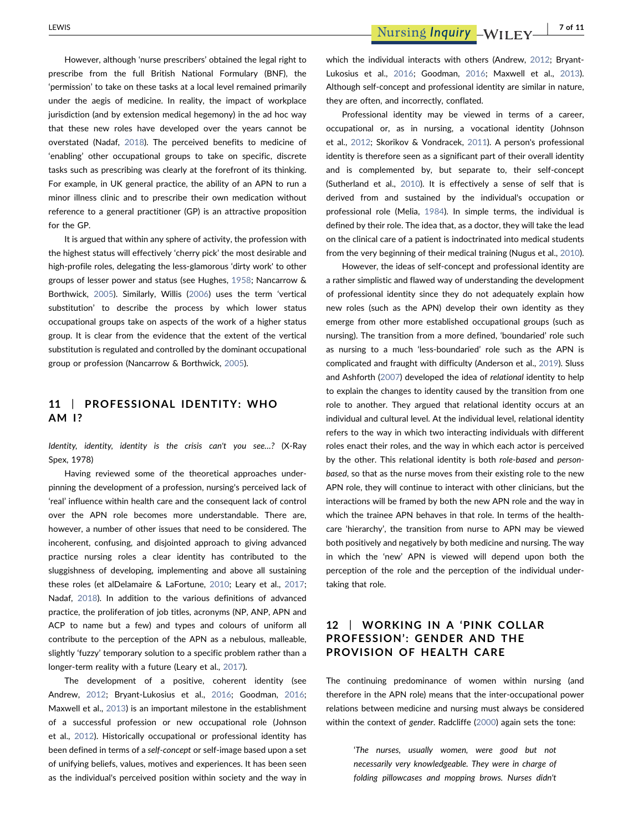However, although 'nurse prescribers' obtained the legal right to prescribe from the full British National Formulary (BNF), the 'permission' to take on these tasks at a local level remained primarily under the aegis of medicine. In reality, the impact of workplace jurisdiction (and by extension medical hegemony) in the ad hoc way that these new roles have developed over the years cannot be overstated (Nadaf, [2018\)](#page-10-1). The perceived benefits to medicine of 'enabling' other occupational groups to take on specific, discrete tasks such as prescribing was clearly at the forefront of its thinking. For example, in UK general practice, the ability of an APN to run a minor illness clinic and to prescribe their own medication without reference to a general practitioner (GP) is an attractive proposition for the GP.

It is argued that within any sphere of activity, the profession with the highest status will effectively 'cherry pick' the most desirable and high-profile roles, delegating the less-glamorous 'dirty work' to other groups of lesser power and status (see Hughes, [1958](#page-10-13); Nancarrow & Borthwick, [2005\)](#page-10-35). Similarly, Willis ([2006](#page-11-10)) uses the term 'vertical substitution' to describe the process by which lower status occupational groups take on aspects of the work of a higher status group. It is clear from the evidence that the extent of the vertical substitution is regulated and controlled by the dominant occupational group or profession (Nancarrow & Borthwick, [2005\)](#page-10-35).

### 11 | PROFESSIONAL IDENTITY: WHO AM I?

Identity, identity, identity is the crisis can't you see…? (X‐Ray Spex, 1978)

Having reviewed some of the theoretical approaches underpinning the development of a profession, nursing's perceived lack of 'real' influence within health care and the consequent lack of control over the APN role becomes more understandable. There are, however, a number of other issues that need to be considered. The incoherent, confusing, and disjointed approach to giving advanced practice nursing roles a clear identity has contributed to the sluggishness of developing, implementing and above all sustaining these roles (et alDelamaire & LaFortune, [2010;](#page-10-6) Leary et al., [2017](#page-10-36); Nadaf, [2018\)](#page-10-1). In addition to the various definitions of advanced practice, the proliferation of job titles, acronyms (NP, ANP, APN and ACP to name but a few) and types and colours of uniform all contribute to the perception of the APN as a nebulous, malleable, slightly 'fuzzy' temporary solution to a specific problem rather than a longer-term reality with a future (Leary et al., [2017\)](#page-10-36).

The development of a positive, coherent identity (see Andrew, [2012;](#page-9-10) Bryant‐Lukosius et al., [2016;](#page-9-11) Goodman, [2016](#page-10-37); Maxwell et al., [2013](#page-10-27)) is an important milestone in the establishment of a successful profession or new occupational role (Johnson et al., [2012](#page-10-38)). Historically occupational or professional identity has been defined in terms of a self‐concept or self‐image based upon a set of unifying beliefs, values, motives and experiences. It has been seen as the individual's perceived position within society and the way in

LEWIS **Example 20 The Contract of Texas Excess** Purising *Inquiry* - WILEY 7 of 11

which the individual interacts with others (Andrew, [2012](#page-9-10); Bryant-Lukosius et al., [2016;](#page-9-11) Goodman, [2016;](#page-10-37) Maxwell et al., [2013\)](#page-10-27). Although self-concept and professional identity are similar in nature. they are often, and incorrectly, conflated.

Professional identity may be viewed in terms of a career, occupational or, as in nursing, a vocational identity (Johnson et al., [2012;](#page-10-38) Skorikov & Vondracek, [2011](#page-11-14)). A person's professional identity is therefore seen as a significant part of their overall identity and is complemented by, but separate to, their self‐concept (Sutherland et al., [2010](#page-11-15)). It is effectively a sense of self that is derived from and sustained by the individual's occupation or professional role (Melia, [1984\)](#page-10-32). In simple terms, the individual is defined by their role. The idea that, as a doctor, they will take the lead on the clinical care of a patient is indoctrinated into medical students from the very beginning of their medical training (Nugus et al., [2010\)](#page-10-31).

However, the ideas of self‐concept and professional identity are a rather simplistic and flawed way of understanding the development of professional identity since they do not adequately explain how new roles (such as the APN) develop their own identity as they emerge from other more established occupational groups (such as nursing). The transition from a more defined, 'boundaried' role such as nursing to a much 'less-boundaried' role such as the APN is complicated and fraught with difficulty (Anderson et al., [2019\)](#page-9-12). Sluss and Ashforth ([2007](#page-11-16)) developed the idea of relational identity to help to explain the changes to identity caused by the transition from one role to another. They argued that relational identity occurs at an individual and cultural level. At the individual level, relational identity refers to the way in which two interacting individuals with different roles enact their roles, and the way in which each actor is perceived by the other. This relational identity is both role‐based and person‐ based, so that as the nurse moves from their existing role to the new APN role, they will continue to interact with other clinicians, but the interactions will be framed by both the new APN role and the way in which the trainee APN behaves in that role. In terms of the healthcare 'hierarchy', the transition from nurse to APN may be viewed both positively and negatively by both medicine and nursing. The way in which the 'new' APN is viewed will depend upon both the perception of the role and the perception of the individual undertaking that role.

# 12 | WORKING IN A 'PINK COLLAR PROFESSION': GENDER AND THE PROVISION OF HEALTH CARE

The continuing predominance of women within nursing (and therefore in the APN role) means that the inter‐occupational power relations between medicine and nursing must always be considered within the context of gender. Radcliffe [\(2000\)](#page-11-2) again sets the tone:

> 'The nurses, usually women, were good but not necessarily very knowledgeable. They were in charge of folding pillowcases and mopping brows. Nurses didn't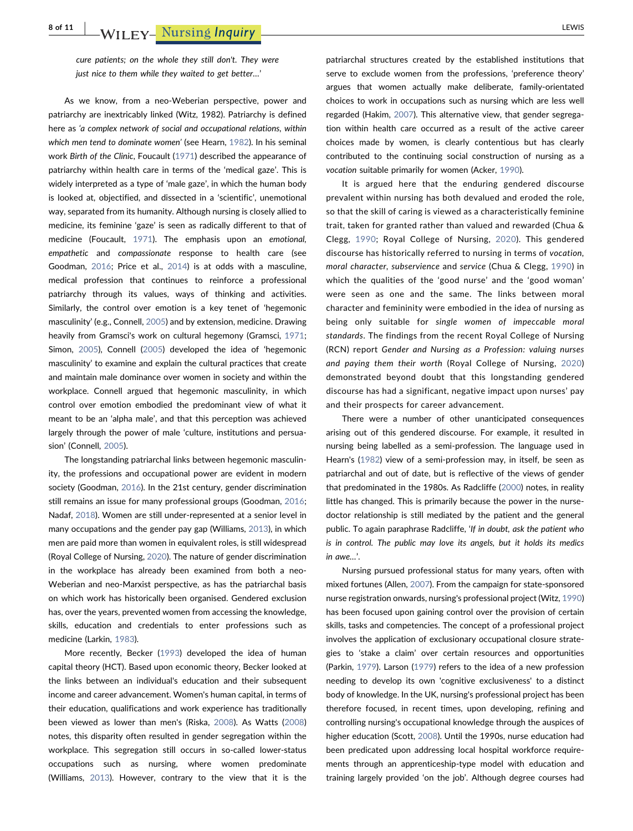cure patients; on the whole they still don't. They were just nice to them while they waited to get better…'

As we know, from a neo‐Weberian perspective, power and patriarchy are inextricably linked (Witz, 1982). Patriarchy is defined here as 'a complex network of social and occupational relations, within which men tend to dominate women' (see Hearn, [1982](#page-10-17)). In his seminal work Birth of the Clinic, Foucault ([1971](#page-10-39)) described the appearance of patriarchy within health care in terms of the 'medical gaze'. This is widely interpreted as a type of 'male gaze', in which the human body is looked at, objectified, and dissected in a 'scientific', unemotional way, separated from its humanity. Although nursing is closely allied to medicine, its feminine 'gaze' is seen as radically different to that of medicine (Foucault, [1971\)](#page-10-39). The emphasis upon an emotional, empathetic and compassionate response to health care (see Goodman, [2016;](#page-10-37) Price et al., [2014](#page-11-7)) is at odds with a masculine, medical profession that continues to reinforce a professional patriarchy through its values, ways of thinking and activities. Similarly, the control over emotion is a key tenet of 'hegemonic masculinity' (e.g., Connell, [2005\)](#page-9-13) and by extension, medicine. Drawing heavily from Gramsci's work on cultural hegemony (Gramsci, [1971](#page-10-40); Simon, [2005](#page-11-17)), Connell ([2005](#page-9-13)) developed the idea of 'hegemonic masculinity' to examine and explain the cultural practices that create and maintain male dominance over women in society and within the workplace. Connell argued that hegemonic masculinity, in which control over emotion embodied the predominant view of what it meant to be an 'alpha male', and that this perception was achieved largely through the power of male 'culture, institutions and persuasion' (Connell, [2005](#page-9-13)).

The longstanding patriarchal links between hegemonic masculinity, the professions and occupational power are evident in modern society (Goodman, [2016\)](#page-10-37). In the 21st century, gender discrimination still remains an issue for many professional groups (Goodman, [2016](#page-10-37); Nadaf, [2018\)](#page-10-1). Women are still under‐represented at a senior level in many occupations and the gender pay gap (Williams, [2013](#page-11-18)), in which men are paid more than women in equivalent roles, is still widespread (Royal College of Nursing, [2020\)](#page-11-19). The nature of gender discrimination in the workplace has already been examined from both a neo‐ Weberian and neo‐Marxist perspective, as has the patriarchal basis on which work has historically been organised. Gendered exclusion has, over the years, prevented women from accessing the knowledge, skills, education and credentials to enter professions such as medicine (Larkin, [1983\)](#page-10-30).

More recently, Becker ([1993](#page-9-14)) developed the idea of human capital theory (HCT). Based upon economic theory, Becker looked at the links between an individual's education and their subsequent income and career advancement. Women's human capital, in terms of their education, qualifications and work experience has traditionally been viewed as lower than men's (Riska, [2008\)](#page-11-3). As Watts ([2008](#page-11-20)) notes, this disparity often resulted in gender segregation within the workplace. This segregation still occurs in so-called lower-status occupations such as nursing, where women predominate (Williams, [2013](#page-11-18)). However, contrary to the view that it is the

patriarchal structures created by the established institutions that serve to exclude women from the professions, 'preference theory' argues that women actually make deliberate, family‐orientated choices to work in occupations such as nursing which are less well regarded (Hakim, [2007](#page-10-41)). This alternative view, that gender segregation within health care occurred as a result of the active career choices made by women, is clearly contentious but has clearly contributed to the continuing social construction of nursing as a vocation suitable primarily for women (Acker, [1990\)](#page-9-15).

It is argued here that the enduring gendered discourse prevalent within nursing has both devalued and eroded the role, so that the skill of caring is viewed as a characteristically feminine trait, taken for granted rather than valued and rewarded (Chua & Clegg, [1990;](#page-9-7) Royal College of Nursing, [2020\)](#page-11-19). This gendered discourse has historically referred to nursing in terms of vocation, moral character, subservience and service (Chua & Clegg, [1990](#page-9-7)) in which the qualities of the 'good nurse' and the 'good woman' were seen as one and the same. The links between moral character and femininity were embodied in the idea of nursing as being only suitable for single women of impeccable moral standards. The findings from the recent Royal College of Nursing (RCN) report Gender and Nursing as a Profession: valuing nurses and paying them their worth (Royal College of Nursing, [2020](#page-11-19)) demonstrated beyond doubt that this longstanding gendered discourse has had a significant, negative impact upon nurses' pay and their prospects for career advancement.

There were a number of other unanticipated consequences arising out of this gendered discourse. For example, it resulted in nursing being labelled as a semi‐profession. The language used in Hearn's ([1982\)](#page-10-17) view of a semi-profession may, in itself, be seen as patriarchal and out of date, but is reflective of the views of gender that predominated in the 1980s. As Radcliffe ([2000](#page-11-2)) notes, in reality little has changed. This is primarily because the power in the nurse‐ doctor relationship is still mediated by the patient and the general public. To again paraphrase Radcliffe, 'If in doubt, ask the patient who is in control. The public may love its angels, but it holds its medics in awe…'.

Nursing pursued professional status for many years, often with mixed fortunes (Allen, [2007](#page-9-8)). From the campaign for state‐sponsored nurse registration onwards, nursing's professional project (Witz, [1990\)](#page-11-4) has been focused upon gaining control over the provision of certain skills, tasks and competencies. The concept of a professional project involves the application of exclusionary occupational closure strategies to 'stake a claim' over certain resources and opportunities (Parkin, [1979](#page-10-42)). Larson [\(1979](#page-10-14)) refers to the idea of a new profession needing to develop its own 'cognitive exclusiveness' to a distinct body of knowledge. In the UK, nursing's professional project has been therefore focused, in recent times, upon developing, refining and controlling nursing's occupational knowledge through the auspices of higher education (Scott, [2008\)](#page-11-21). Until the 1990s, nurse education had been predicated upon addressing local hospital workforce requirements through an apprenticeship‐type model with education and training largely provided 'on the job'. Although degree courses had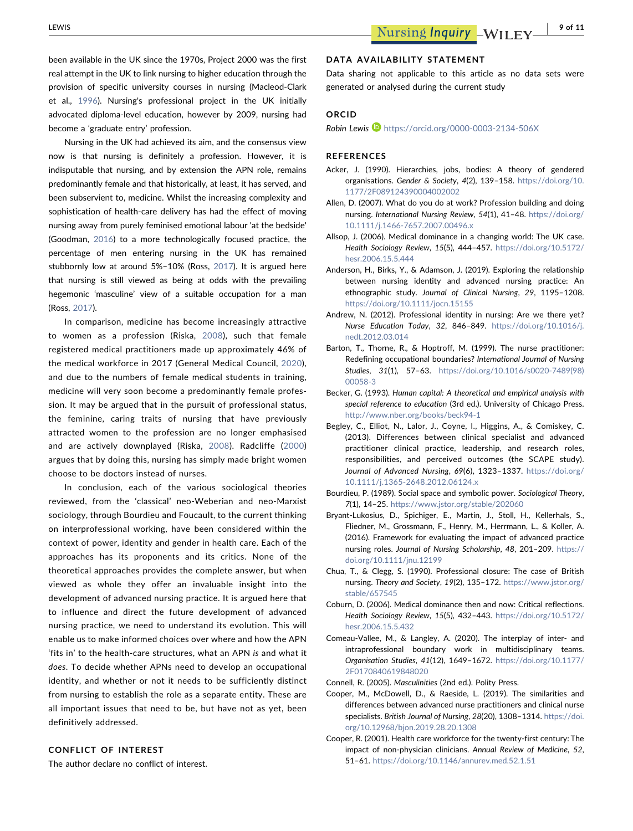been available in the UK since the 1970s, Project 2000 was the first real attempt in the UK to link nursing to higher education through the provision of specific university courses in nursing (Macleod‐Clark et al., [1996\)](#page-10-43). Nursing's professional project in the UK initially advocated diploma‐level education, however by 2009, nursing had become a 'graduate entry' profession.

Nursing in the UK had achieved its aim, and the consensus view now is that nursing is definitely a profession. However, it is indisputable that nursing, and by extension the APN role, remains predominantly female and that historically, at least, it has served, and been subservient to, medicine. Whilst the increasing complexity and sophistication of health-care delivery has had the effect of moving nursing away from purely feminised emotional labour 'at the bedside' (Goodman, [2016\)](#page-10-37) to a more technologically focused practice, the percentage of men entering nursing in the UK has remained stubbornly low at around 5%–10% (Ross, [2017\)](#page-11-22). It is argued here that nursing is still viewed as being at odds with the prevailing hegemonic 'masculine' view of a suitable occupation for a man (Ross, [2017](#page-11-22)).

In comparison, medicine has become increasingly attractive to women as a profession (Riska, [2008\)](#page-11-3), such that female registered medical practitioners made up approximately 46% of the medical workforce in 2017 (General Medical Council, [2020](#page-10-44)), and due to the numbers of female medical students in training, medicine will very soon become a predominantly female profession. It may be argued that in the pursuit of professional status, the feminine, caring traits of nursing that have previously attracted women to the profession are no longer emphasised and are actively downplayed (Riska, [2008\)](#page-11-3). Radcliffe ([2000](#page-11-2)) argues that by doing this, nursing has simply made bright women choose to be doctors instead of nurses.

In conclusion, each of the various sociological theories reviewed, from the 'classical' neo‐Weberian and neo‐Marxist sociology, through Bourdieu and Foucault, to the current thinking on interprofessional working, have been considered within the context of power, identity and gender in health care. Each of the approaches has its proponents and its critics. None of the theoretical approaches provides the complete answer, but when viewed as whole they offer an invaluable insight into the development of advanced nursing practice. It is argued here that to influence and direct the future development of advanced nursing practice, we need to understand its evolution. This will enable us to make informed choices over where and how the APN 'fits in' to the health‐care structures, what an APN is and what it does. To decide whether APNs need to develop an occupational identity, and whether or not it needs to be sufficiently distinct from nursing to establish the role as a separate entity. These are all important issues that need to be, but have not as yet, been definitively addressed.

### CONFLICT OF INTEREST

The author declare no conflict of interest.

### DATA AVAILABILITY STATEMENT

Data sharing not applicable to this article as no data sets were generated or analysed during the current study

### ORCID

Robin Lewis <https://orcid.org/0000-0003-2134-506X>

### REFERENCES

- <span id="page-9-15"></span>Acker, J. (1990). Hierarchies, jobs, bodies: A theory of gendered organisations. Gender & Society, 4(2), 139–158. [https://doi.org/10.](https://doi.org/10.1177/2F089124390004002002) [1177/2F089124390004002002](https://doi.org/10.1177/2F089124390004002002)
- <span id="page-9-8"></span>Allen, D. (2007). What do you do at work? Profession building and doing nursing. International Nursing Review, 54(1), 41–48. [https://doi.org/](https://doi.org/10.1111/j.1466-7657.2007.00496.x) [10.1111/j.1466-7657.2007.00496.x](https://doi.org/10.1111/j.1466-7657.2007.00496.x)
- <span id="page-9-4"></span>Allsop, J. (2006). Medical dominance in a changing world: The UK case. Health Sociology Review, 15(5), 444–457. [https://doi.org/10.5172/](https://doi.org/10.5172/hesr.2006.15.5.444) [hesr.2006.15.5.444](https://doi.org/10.5172/hesr.2006.15.5.444)
- <span id="page-9-12"></span>Anderson, H., Birks, Y., & Adamson, J. (2019). Exploring the relationship between nursing identity and advanced nursing practice: An ethnographic study. Journal of Clinical Nursing, 29, 1195–1208. <https://doi.org/10.1111/jocn.15155>
- <span id="page-9-10"></span>Andrew, N. (2012). Professional identity in nursing: Are we there yet? Nurse Education Today, 32, 846–849. [https://doi.org/10.1016/j.](https://doi.org/10.1016/j.nedt.2012.03.014) [nedt.2012.03.014](https://doi.org/10.1016/j.nedt.2012.03.014)
- <span id="page-9-0"></span>Barton, T., Thorne, R., & Hoptroff, M. (1999). The nurse practitioner: Redefining occupational boundaries? International Journal of Nursing Studies, 31(1), 57–63. [https://doi.org/10.1016/s0020-7489\(98\)](https://doi.org/10.1016/s0020-7489(98)00058-3) [00058-3](https://doi.org/10.1016/s0020-7489(98)00058-3)
- <span id="page-9-14"></span>Becker, G. (1993). Human capital: A theoretical and empirical analysis with special reference to education (3rd ed.). University of Chicago Press. <http://www.nber.org/books/beck94-1>
- <span id="page-9-2"></span>Begley, C., Elliot, N., Lalor, J., Coyne, I., Higgins, A., & Comiskey, C. (2013). Differences between clinical specialist and advanced practitioner clinical practice, leadership, and research roles, responsibilities, and perceived outcomes (the SCAPE study). Journal of Advanced Nursing, 69(6), 1323–1337. [https://doi.org/](https://doi.org/10.1111/j.1365-2648.2012.06124.x) [10.1111/j.1365-2648.2012.06124.x](https://doi.org/10.1111/j.1365-2648.2012.06124.x)
- <span id="page-9-6"></span>Bourdieu, P. (1989). Social space and symbolic power. Sociological Theory, 7(1), 14–25. <https://www.jstor.org/stable/202060>
- <span id="page-9-11"></span>Bryant‐Lukosius, D., Spichiger, E., Martin, J., Stoll, H., Kellerhals, S., Fliedner, M., Grossmann, F., Henry, M., Herrmann, L., & Koller, A. (2016). Framework for evaluating the impact of advanced practice nursing roles. Journal of Nursing Scholarship, 48, 201–209. [https://](https://doi.org/10.1111/jnu.12199) [doi.org/10.1111/jnu.12199](https://doi.org/10.1111/jnu.12199)
- <span id="page-9-7"></span>Chua, T., & Clegg, S. (1990). Professional closure: The case of British nursing. Theory and Society, 19(2), 135–172. [https://www.jstor.org/](https://www.jstor.org/stable/657545) [stable/657545](https://www.jstor.org/stable/657545)
- <span id="page-9-5"></span>Coburn, D. (2006). Medical dominance then and now: Critical reflections. Health Sociology Review, 15(5), 432–443. [https://doi.org/10.5172/](https://doi.org/10.5172/hesr.2006.15.5.432) [hesr.2006.15.5.432](https://doi.org/10.5172/hesr.2006.15.5.432)
- <span id="page-9-9"></span>Comeau‐Vallee, M., & Langley, A. (2020). The interplay of inter‐ and intraprofessional boundary work in multidisciplinary teams. Organisation Studies, 41(12), 1649–1672. [https://doi.org/10.1177/](https://doi.org/10.1177/2F0170840619848020) [2F0170840619848020](https://doi.org/10.1177/2F0170840619848020)
- <span id="page-9-13"></span>Connell, R. (2005). Masculinities (2nd ed.). Polity Press.
- <span id="page-9-1"></span>Cooper, M., McDowell, D., & Raeside, L. (2019). The similarities and differences between advanced nurse practitioners and clinical nurse specialists. British Journal of Nursing, 28(20), 1308–1314. [https://doi.](https://doi.org/10.12968/bjon.2019.28.20.1308) [org/10.12968/bjon.2019.28.20.1308](https://doi.org/10.12968/bjon.2019.28.20.1308)
- <span id="page-9-3"></span>Cooper, R. (2001). Health care workforce for the twenty‐first century: The impact of non-physician clinicians. Annual Review of Medicine, 52, 51–61. <https://doi.org/10.1146/annurev.med.52.1.51>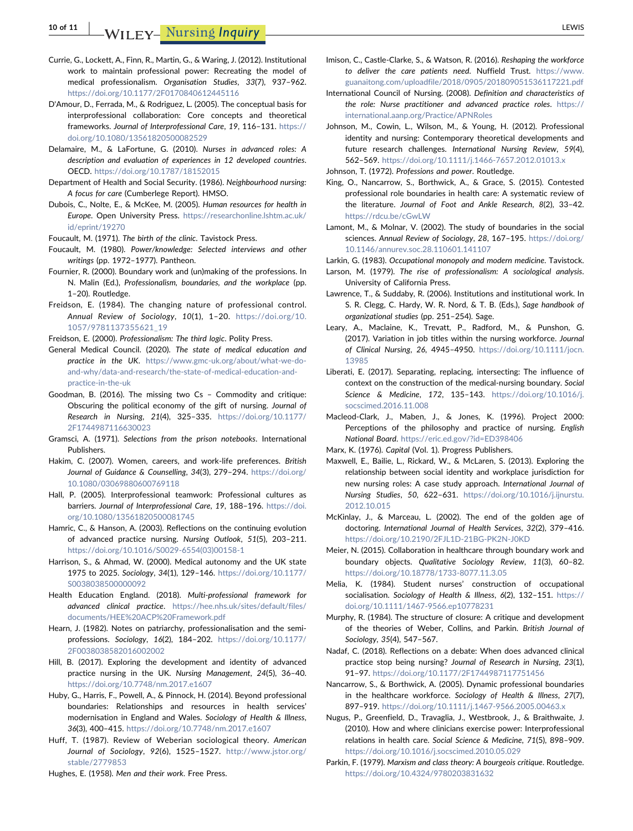10 of 11 WILEY- Nursing Inquiry LEWIS 2007 11 LEWIS

- <span id="page-10-23"></span>Currie, G., Lockett, A., Finn, R., Martin, G., & Waring, J. (2012). Institutional work to maintain professional power: Recreating the model of medical professionalism. Organisation Studies, 33(7), 937–962. <https://doi.org/10.1177/2F0170840612445116>
- <span id="page-10-15"></span>D'Amour, D., Ferrada, M., & Rodriguez, L. (2005). The conceptual basis for interprofessional collaboration: Core concepts and theoretical frameworks. Journal of Interprofessional Care, 19, 116–131. [https://](https://doi.org/10.1080/13561820500082529) [doi.org/10.1080/13561820500082529](https://doi.org/10.1080/13561820500082529)
- <span id="page-10-6"></span>Delamaire, M., & LaFortune, G. (2010). Nurses in advanced roles: A description and evaluation of experiences in 12 developed countries. OECD. <https://doi.org/10.1787/18152015>
- <span id="page-10-34"></span>Department of Health and Social Security. (1986). Neighbourhood nursing: A focus for care (Cumberlege Report). HMSO.
- <span id="page-10-7"></span>Dubois, C., Nolte, E., & McKee, M. (2005). Human resources for health in Europe. Open University Press. [https://researchonline.lshtm.ac.uk/](https://researchonline.lshtm.ac.uk/id/eprint/19270) [id/eprint/19270](https://researchonline.lshtm.ac.uk/id/eprint/19270)
- <span id="page-10-39"></span>Foucault, M. (1971). The birth of the clinic. Tavistock Press.
- <span id="page-10-26"></span>Foucault, M. (1980). Power/knowledge: Selected interviews and other writings (pp. 1972–1977). Pantheon.
- <span id="page-10-29"></span>Fournier, R. (2000). Boundary work and (un)making of the professions. In N. Malin (Ed.), Professionalism, boundaries, and the workplace (pp. 1–20). Routledge.
- <span id="page-10-24"></span>Freidson, E. (1984). The changing nature of professional control. Annual Review of Sociology, 10(1), 1–20. [https://doi.org/10.](https://doi.org/10.1057/9781137355621_19) [1057/9781137355621\\_19](https://doi.org/10.1057/9781137355621_19)

<span id="page-10-25"></span>Freidson, E. (2000). Professionalism: The third logic. Polity Press.

- <span id="page-10-44"></span>General Medical Council. (2020). The state of medical education and practice in the UK. [https://www.gmc-uk.org/about/what-we-do](https://www.gmc-uk.org/about/what-we-do-and-why/data-and-research/the-state-of-medical-education-and-practice-in-the-uk)[and-why/data-and-research/the-state-of-medical-education-and](https://www.gmc-uk.org/about/what-we-do-and-why/data-and-research/the-state-of-medical-education-and-practice-in-the-uk)[practice-in-the-uk](https://www.gmc-uk.org/about/what-we-do-and-why/data-and-research/the-state-of-medical-education-and-practice-in-the-uk)
- <span id="page-10-37"></span>Goodman, B. (2016). The missing two Cs – Commodity and critique: Obscuring the political economy of the gift of nursing. Journal of Research in Nursing, 21(4), 325–335. [https://doi.org/10.1177/](https://doi.org/10.1177/2F1744987116630023) [2F1744987116630023](https://doi.org/10.1177/2F1744987116630023)
- <span id="page-10-40"></span>Gramsci, A. (1971). Selections from the prison notebooks. International Publishers.
- <span id="page-10-41"></span>Hakim, C. (2007). Women, careers, and work‐life preferences. British Journal of Guidance & Counselling, 34(3), 279-294. [https://doi.org/](https://doi.org/10.1080/03069880600769118) [10.1080/03069880600769118](https://doi.org/10.1080/03069880600769118)
- <span id="page-10-9"></span>Hall, P. (2005). Interprofessional teamwork: Professional cultures as barriers. Journal of Interprofessional Care, 19, 188-196. [https://doi.](https://doi.org/10.1080/13561820500081745) [org/10.1080/13561820500081745](https://doi.org/10.1080/13561820500081745)
- <span id="page-10-2"></span>Hamric, C., & Hanson, A. (2003). Reflections on the continuing evolution of advanced practice nursing. Nursing Outlook, 51(5), 203–211. [https://doi.org/10.1016/S0029-6554\(03\)00158-1](https://doi.org/10.1016/S0029-6554(03)00158-1)
- <span id="page-10-22"></span>Harrison, S., & Ahmad, W. (2000). Medical autonomy and the UK state 1975 to 2025. Sociology, 34(1), 129–146. [https://doi.org/10.1177/](https://doi.org/10.1177/S0038038500000092) [S0038038500000092](https://doi.org/10.1177/S0038038500000092)
- <span id="page-10-5"></span>Health Education England. (2018). Multi‐professional framework for advanced clinical practice. [https://hee.nhs.uk/sites/default/files/](https://hee.nhs.uk/sites/default/files/documents/HEE%20ACP%20Framework.pdf) [documents/HEE%20ACP%20Framework.pdf](https://hee.nhs.uk/sites/default/files/documents/HEE%20ACP%20Framework.pdf)
- <span id="page-10-17"></span>Hearn, J. (1982). Notes on patriarchy, professionalisation and the semiprofessions. Sociology, 16(2), 184–202. [https://doi.org/10.1177/](https://doi.org/10.1177/2F0038038582016002002) [2F0038038582016002002](https://doi.org/10.1177/2F0038038582016002002)
- <span id="page-10-3"></span>Hill, B. (2017). Exploring the development and identity of advanced practice nursing in the UK. Nursing Management, 24(5), 36–40. <https://doi.org/10.7748/nm.2017.e1607>
- <span id="page-10-19"></span>Huby, G., Harris, F., Powell, A., & Pinnock, H. (2014). Beyond professional boundaries: Relationships and resources in health services' modernisation in England and Wales. Sociology of Health & Illness, 36(3), 400–415. <https://doi.org/10.7748/nm.2017.e1607>
- <span id="page-10-10"></span>Huff, T. (1987). Review of Weberian sociological theory. American Journal of Sociology, 92(6), 1525-1527. [http://www.jstor.org/](http://www.jstor.org/stable/2779853) [stable/2779853](http://www.jstor.org/stable/2779853)

<span id="page-10-13"></span>Hughes, E. (1958). Men and their work. Free Press.

- <span id="page-10-8"></span>Imison, C., Castle‐Clarke, S., & Watson, R. (2016). Reshaping the workforce to deliver the care patients need. Nuffield Trust. [https://www.](https://www.guanaitong.com/uploadfile/2018/0905/201809051536117221.pdf) [guanaitong.com/uploadfile/2018/0905/201809051536117221.pdf](https://www.guanaitong.com/uploadfile/2018/0905/201809051536117221.pdf)
- <span id="page-10-4"></span>International Council of Nursing. (2008). Definition and characteristics of the role: Nurse practitioner and advanced practice roles. [https://](https://international.aanp.org/Practice/APNRoles) [international.aanp.org/Practice/APNRoles](https://international.aanp.org/Practice/APNRoles)
- <span id="page-10-38"></span>Johnson, M., Cowin, L., Wilson, M., & Young, H. (2012). Professional identity and nursing: Contemporary theoretical developments and future research challenges. International Nursing Review, 59(4), 562–569. <https://doi.org/10.1111/j.1466-7657.2012.01013.x>

<span id="page-10-12"></span>Johnson, T. (1972). Professions and power. Routledge.

- <span id="page-10-0"></span>King, O., Nancarrow, S., Borthwick, A., & Grace, S. (2015). Contested professional role boundaries in health care: A systematic review of the literature. Journal of Foot and Ankle Research, 8(2), 33–42. <https://rdcu.be/cGwLW>
- <span id="page-10-28"></span>Lamont, M., & Molnar, V. (2002). The study of boundaries in the social sciences. Annual Review of Sociology, 28, 167-195. [https://doi.org/](https://doi.org/10.1146/annurev.soc.28.110601.141107) [10.1146/annurev.soc.28.110601.141107](https://doi.org/10.1146/annurev.soc.28.110601.141107)

<span id="page-10-30"></span>Larkin, G. (1983). Occupational monopoly and modern medicine. Tavistock.

- <span id="page-10-14"></span>Larson, M. (1979). The rise of professionalism: A sociological analysis. University of California Press.
- <span id="page-10-16"></span>Lawrence, T., & Suddaby, R. (2006). Institutions and institutional work. In S. R. Clegg, C. Hardy, W. R. Nord, & T. B. (Eds.), Sage handbook of organizational studies (pp. 251–254). Sage.
- <span id="page-10-36"></span>Leary, A., Maclaine, K., Trevatt, P., Radford, M., & Punshon, G. (2017). Variation in job titles within the nursing workforce. Journal of Clinical Nursing, 26, 4945–4950. [https://doi.org/10.1111/jocn.](https://doi.org/10.1111/jocn.13985) [13985](https://doi.org/10.1111/jocn.13985)
- <span id="page-10-21"></span>Liberati, E. (2017). Separating, replacing, intersecting: The influence of context on the construction of the medical‐nursing boundary. Social Science & Medicine, 172, 135–143. [https://doi.org/10.1016/j.](https://doi.org/10.1016/j.socscimed.2016.11.008) [socscimed.2016.11.008](https://doi.org/10.1016/j.socscimed.2016.11.008)
- <span id="page-10-43"></span>Macleod‐Clark, J., Maben, J., & Jones, K. (1996). Project 2000: Perceptions of the philosophy and practice of nursing. English National Board. <https://eric.ed.gov/?id=ED398406>

<span id="page-10-11"></span>Marx, K. (1976). Capital (Vol. 1). Progress Publishers.

- <span id="page-10-27"></span>Maxwell, E., Bailie, L., Rickard, W., & McLaren, S. (2013). Exploring the relationship between social identity and workplace jurisdiction for new nursing roles: A case study approach. International Journal of Nursing Studies, 50, 622–631. [https://doi.org/10.1016/j.ijnurstu.](https://doi.org/10.1016/j.ijnurstu.2012.10.015) [2012.10.015](https://doi.org/10.1016/j.ijnurstu.2012.10.015)
- <span id="page-10-18"></span>McKinlay, J., & Marceau, L. (2002). The end of the golden age of doctoring. International Journal of Health Services, 32(2), 379–416. <https://doi.org/10.2190/2FJL1D-21BG-PK2N-J0KD>
- <span id="page-10-33"></span>Meier, N. (2015). Collaboration in healthcare through boundary work and boundary objects. Qualitative Sociology Review, 11(3), 60–82. <https://doi.org/10.18778/1733-8077.11.3.05>
- <span id="page-10-32"></span>Melia, K. (1984). Student nurses' construction of occupational socialisation. Sociology of Health & Illness, 6(2), 132–151. [https://](https://doi.org/10.1111/1467-9566.ep10778231) [doi.org/10.1111/1467-9566.ep10778231](https://doi.org/10.1111/1467-9566.ep10778231)
- <span id="page-10-20"></span>Murphy, R. (1984). The structure of closure: A critique and development of the theories of Weber, Collins, and Parkin. British Journal of Sociology, 35(4), 547–567.
- <span id="page-10-1"></span>Nadaf, C. (2018). Reflections on a debate: When does advanced clinical practice stop being nursing? Journal of Research in Nursing, 23(1), 91–97. <https://doi.org/10.1177/2F1744987117751456>
- <span id="page-10-35"></span>Nancarrow, S., & Borthwick, A. (2005). Dynamic professional boundaries in the healthcare workforce. Sociology of Health & Illness, 27(7), 897–919. <https://doi.org/10.1111/j.1467-9566.2005.00463.x>
- <span id="page-10-31"></span>Nugus, P., Greenfield, D., Travaglia, J., Westbrook, J., & Braithwaite, J. (2010). How and where clinicians exercise power: Interprofessional relations in health care. Social Science & Medicine, 71(5), 898–909. <https://doi.org/10.1016/j.socscimed.2010.05.029>
- <span id="page-10-42"></span>Parkin, F. (1979). Marxism and class theory: A bourgeois critique. Routledge. <https://doi.org/10.4324/9780203831632>